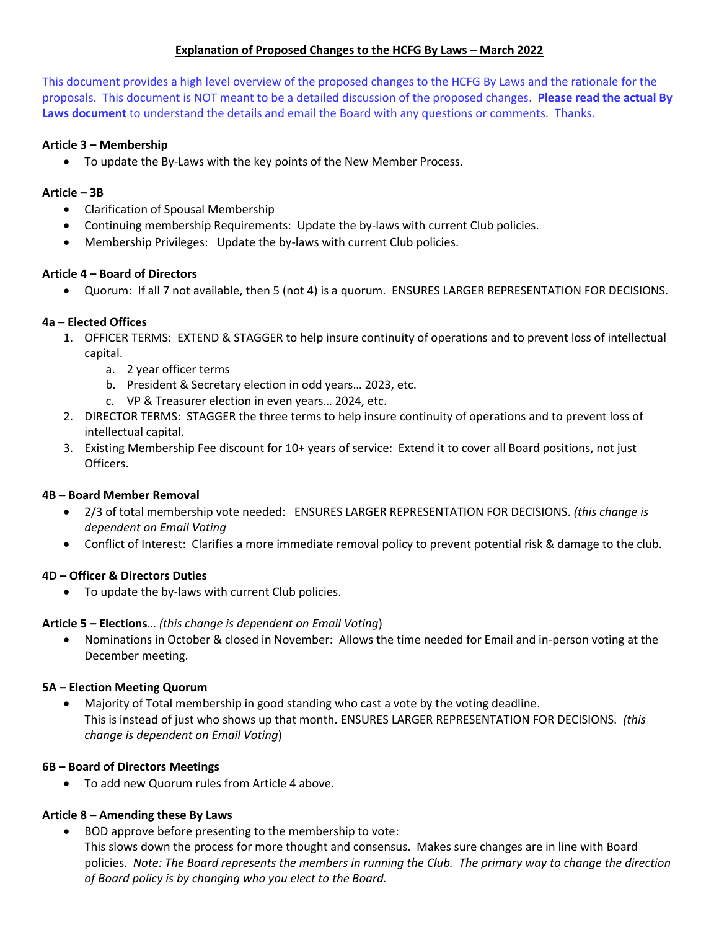# **Explanation of Proposed Changes to the HCFG By Laws - March 2022**

This document provides a high level overview of the proposed changes to the HCFG By Laws and the rationale for the proposals. This document is NOT meant to be a detailed discussion of the proposed changes. **Please read the actual By Laws document** to understand the details and email the Board with any questions or comments. Thanks.

#### **Article 3 – Membership**

• To update the By-Laws with the key points of the New Member Process.

#### **Article – 3B**

- Clarification of Spousal Membership
- Continuing membership Requirements: Update the by-laws with current Club policies.
- Membership Privileges: Update the by-laws with current Club policies.

#### **Article 4 – Board of Directors**

• Quorum: If all 7 not available, then 5 (not 4) is a quorum. ENSURES LARGER REPRESENTATION FOR DECISIONS.

### **4a – Elected Offices**

- 1. OFFICER TERMS: EXTEND & STAGGER to help insure continuity of operations and to prevent loss of intellectual capital.
	- a. 2 year officer terms
	- b. President & Secretary election in odd years… 2023, etc.
	- c. VP & Treasurer election in even years… 2024, etc.
- 2. DIRECTOR TERMS: STAGGER the three terms to help insure continuity of operations and to prevent loss of intellectual capital.
- 3. Existing Membership Fee discount for 10+ years of service: Extend it to cover all Board positions, not just Officers.

#### **4B – Board Member Removal**

- 2/3 of total membership vote needed: ENSURES LARGER REPRESENTATION FOR DECISIONS. *(this change is dependent on Email Voting*
- Conflict of Interest: Clarifies a more immediate removal policy to prevent potential risk & damage to the club.

#### **4D – Officer & Directors Duties**

• To update the by-laws with current Club policies.

#### **Article 5 – Elections**… *(this change is dependent on Email Voting*)

• Nominations in October & closed in November: Allows the time needed for Email and in-person voting at the December meeting.

#### **5A – Election Meeting Quorum**

• Majority of Total membership in good standing who cast a vote by the voting deadline. This is instead of just who shows up that month. ENSURES LARGER REPRESENTATION FOR DECISIONS. *(this change is dependent on Email Voting*)

#### **6B – Board of Directors Meetings**

• To add new Quorum rules from Article 4 above.

#### **Article 8 – Amending these By Laws**

• BOD approve before presenting to the membership to vote: This slows down the process for more thought and consensus. Makes sure changes are in line with Board policies. *Note: The Board represents the members in running the Club. The primary way to change the direction of Board policy is by changing who you elect to the Board.*